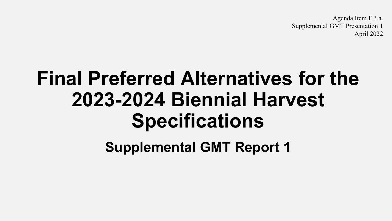Agenda Item F.3.a. Supplemental GMT Presentation 1 April 2022

## **Final Preferred Alternatives for the 2023-2024 Biennial Harvest Specifications**

**Supplemental GMT Report 1**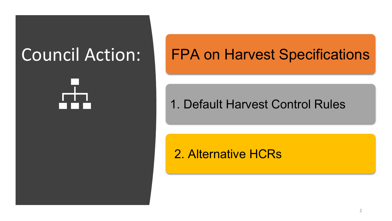## Council Action:

## FPA on Harvest Specifications

#### 1. Default Harvest Control Rules

#### 2. Alternative HCRs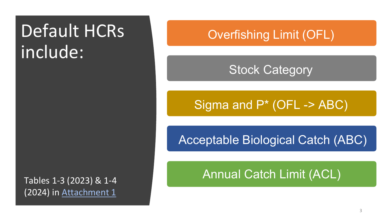## Default HCRs include:

Tables 1-3 (2023) & 1-4 (2024) in [Attachment 1](https://www.pcouncil.org/documents/2022/03/f-3-attachment-1-an-excerpt-of-the-analytical-document-with-the-description-of-2023-and-2024-harvest-specifications-and-the-biological-impacts-associated-with-alternative-harvest-specifications-unde.pdf/)

#### Overfishing Limit (OFL)

#### Stock Category

### Sigma and P\* (OFL -> ABC)

Acceptable Biological Catch (ABC)

Annual Catch Limit (ACL)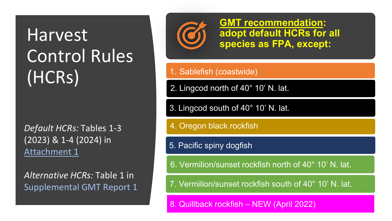## Harvest Control Rules (HCRs)

*Default HCRs:* Tables 1-3 (2023) & 1-4 (2024) in [Attachment 1](https://www.pcouncil.org/documents/2022/03/f-3-attachment-1-an-excerpt-of-the-analytical-document-with-the-description-of-2023-and-2024-harvest-specifications-and-the-biological-impacts-associated-with-alternative-harvest-specifications-unde.pdf/)

*Alternative HCRs:* Table 1 in Supplemental GMT Report 1



**GMT recommendation: adopt default HCRs for all species as FPA, except:**

#### 1. Sablefish (coastwide)

2. Lingcod north of 40° 10' N. lat.

3. Lingcod south of 40° 10' N. lat.

4. Oregon black rockfish

5. Pacific spiny dogfish

6. Vermilion/sunset rockfish north of 40° 10' N. lat.

7. Vermilion/sunset rockfish south of 40° 10' N. lat.

8. Quillback rockfish – NEW (April 2022)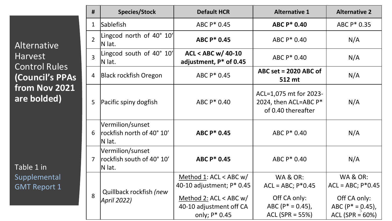Alternative Harvest Control Rules **(Council's PPAs from Nov 2021 are bolded)**

Table 1 in Supplemental GMT Report 1

| #                        | <b>Species/Stock</b>                                    | <b>Default HCR</b>                                                                | <b>Alternative 1</b>                                                  | <b>Alternative 2</b>                               |
|--------------------------|---------------------------------------------------------|-----------------------------------------------------------------------------------|-----------------------------------------------------------------------|----------------------------------------------------|
| $\mathbf 1$              | <b>Sablefish</b>                                        | ABC P* 0.45                                                                       | <b>ABC P* 0.40</b>                                                    | ABC P* 0.35                                        |
| $\overline{\phantom{a}}$ | Lingcod north of 40° 10'<br>N lat.                      | <b>ABC P* 0.45</b>                                                                | ABC P* 0.40                                                           | N/A                                                |
| $\overline{3}$           | Lingcod south of 40° 10'<br>N lat.                      | <b>ACL &lt; ABC w/ 40-10</b><br>adjustment, P* of 0.45                            | ABC P* 0.40                                                           | N/A                                                |
| $\overline{4}$           | <b>Black rockfish Oregon</b>                            | ABC P* 0.45                                                                       | ABC set = $2020$ ABC of<br>512 mt                                     | N/A                                                |
| 5                        | Pacific spiny dogfish                                   | ABC P* 0.40                                                                       | ACL=1,075 mt for 2023-<br>2024, then ACL=ABC P*<br>of 0.40 thereafter | N/A                                                |
| 6                        | Vermilion/sunset<br>rockfish north of 40° 10'<br>N lat. | <b>ABC P* 0.45</b>                                                                | ABC P* 0.40                                                           | N/A                                                |
| $\overline{7}$           | Vermilion/sunset<br>rockfish south of 40° 10'<br>N lat. | <b>ABC P* 0.45</b>                                                                | ABC P* 0.40                                                           | N/A                                                |
| 8                        | Quillback rockfish (new<br>April 2022)                  | Method 1: ACL < ABC $w/$<br>40-10 adjustment; P* 0.45<br>Method 2: ACL < ABC $w/$ | <b>WA &amp; OR:</b><br>$ACL = ABC$ ; $P*0.45$<br>Off CA only:         | WA & OR:<br>$ACL = ABC$ ; $P*0.45$<br>Off CA only: |
|                          |                                                         | 40-10 adjustment off CA<br>only; P* 0.45                                          | $ABC (P^* = 0.45)$ ,<br>$ACL$ (SPR = 55%)                             | ABC ( $P^* = 0.45$ ),<br>ACL (SPR = $60%$ )        |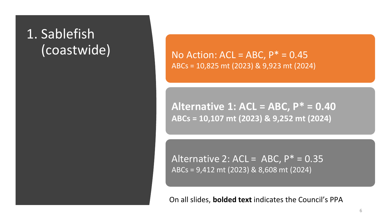### 1. Sablefish (coastwide)

No Action:  $ACL = ABC$ ,  $P^* = 0.45$ ABCs = 10,825 mt (2023) & 9,923 mt (2024)

**Alternative 1: ACL = ABC, P\* = 0.40 ABCs = 10,107 mt (2023) & 9,252 mt (2024)** 

Alternative 2:  $ACL = ABC$ ,  $P^* = 0.35$ ABCs = 9,412 mt (2023) & 8,608 mt (2024)

On all slides, **bolded text** indicates the Council's PPA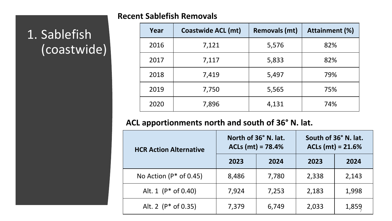#### **Recent Sablefish Removals**

### **Year Coastwide ACL (mt) Removals (mt) Attainment (%)** 2016 7,121 5,576 82% 2017 7,117 5,833 82% 2018 7,419 5,497 79% 2019 7,750 5,565 75% 2020 7,896 4,131 74%

#### **ACL apportionments north and south of 36° N. lat.**

| <b>HCR Action Alternative</b> |       | North of 36° N. lat.<br>$ACIs (mt) = 78.4%$ | South of 36° N. lat.<br>$ACIs (mt) = 21.6%$ |       |  |
|-------------------------------|-------|---------------------------------------------|---------------------------------------------|-------|--|
|                               | 2023  | 2024                                        | 2023                                        | 2024  |  |
| No Action ( $P^*$ of 0.45)    | 8,486 | 7,780                                       | 2,338                                       | 2,143 |  |
| Alt. 1 $(P^*$ of 0.40)        | 7,924 | 7,253                                       | 2,183                                       | 1,998 |  |
| Alt. 2 $(P^*$ of 0.35)        | 7,379 | 6,749                                       | 2,033                                       | 1,859 |  |

### 1. Sablefish (coastwide)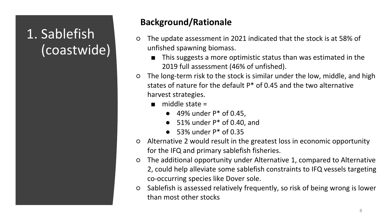### 1. Sablefish (coastwide)

- The update assessment in 2021 indicated that the stock is at 58% of unfished spawning biomass.
	- This suggests a more optimistic status than was estimated in the 2019 full assessment (46% of unfished).
- The long-term risk to the stock is similar under the low, middle, and high states of nature for the default P\* of 0.45 and the two alternative harvest strategies.
	- $\blacksquare$  middle state =
		- $\bullet$  49% under  $P^*$  of 0.45,
		- $\bullet$  51% under  $P^*$  of 0.40, and
		- $\bullet$  53% under  $P^*$  of 0.35
- Alternative 2 would result in the greatest loss in economic opportunity for the IFQ and primary sablefish fisheries.
- The additional opportunity under Alternative 1, compared to Alternative 2, could help alleviate some sablefish constraints to IFQ vessels targeting co-occurring species like Dover sole.
- Sablefish is assessed relatively frequently, so risk of being wrong is lower than most other stocks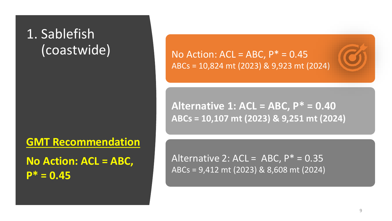### 1. Sablefish (coastwide)

**GMT Recommendation**

**No Action: ACL = ABC, P\* = 0.45**

No Action:  $ACL = ABC$ ,  $P^* = 0.45$ ABCs = 10,824 mt (2023) & 9,923 mt (2024)

**Alternative 1: ACL = ABC, P\* = 0.40 ABCs = 10,107 mt (2023) & 9,251 mt (2024)** 

 $A$ lternative  $2: ACL = ADC$ ,  $D* = 0.25$ ARCHIGUVE 2. ACL = ADC,  $1 - 0.5$ Alternative 2:  $ACL = ABC$ ,  $P^* = 0.35$ ABCs = 9,412 mt (2023) & 8,608 mt (2024)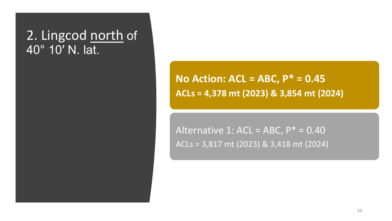#### 2. Lingcod north of 40° [10′ N. lat.](https://docs.google.com/document/d/1byCaEdPeqfb8JESA8LqxuqVNZQtU7mBpcPoNZ_Xf9e0/edit#heading=h.shg1kfnp9ycp)

**No Action: ACL = ABC, P\* = 0.45 ACLs = 4,378 mt (2023) & 3,854 mt (2024)** 

Alternative 1: ACL = ABC,  $P^* = 0.40$ ACLs = 3,817 mt (2023) & 3,418 mt (2024)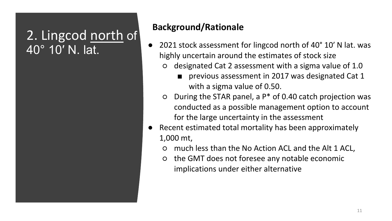### 2. Lingcod north of 40° [10′ N. lat.](https://docs.google.com/document/d/1byCaEdPeqfb8JESA8LqxuqVNZQtU7mBpcPoNZ_Xf9e0/edit#heading=h.shg1kfnp9ycp)

- 2021 stock assessment for lingcod north of 40° 10' N lat. was highly uncertain around the estimates of stock size
	- designated Cat 2 assessment with a sigma value of 1.0
		- previous assessment in 2017 was designated Cat 1 with a sigma value of 0.50.
	- $O$  During the STAR panel, a  $P^*$  of 0.40 catch projection was conducted as a possible management option to account for the large uncertainty in the assessment
- Recent estimated total mortality has been approximately 1,000 mt,
	- much less than the No Action ACL and the Alt 1 ACL,
	- the GMT does not foresee any notable economic implications under either alternative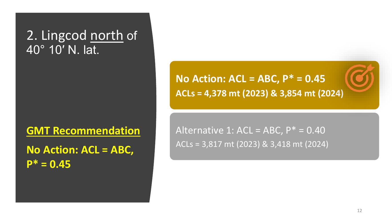#### 2. Lingcod north of 40° [10′ N. lat.](https://docs.google.com/document/d/1byCaEdPeqfb8JESA8LqxuqVNZQtU7mBpcPoNZ_Xf9e0/edit#heading=h.shg1kfnp9ycp)

**GMT Recommendation**

**No Action: ACL = ABC, P\* = 0.45**

**No Action: ACL = ABC, P\* = 0.45 ACLs = 4,378 mt (2023) & 3,854 mt (2024)** 

Alternative 1: ACL = ABC,  $P^* = 0.40$ ACLs = 3,817 mt (2023) & 3,418 mt (2024)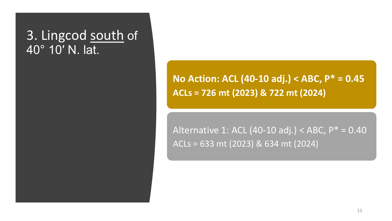#### 3. Lingcod south of 40° [10′ N. lat.](https://docs.google.com/document/d/1byCaEdPeqfb8JESA8LqxuqVNZQtU7mBpcPoNZ_Xf9e0/edit#heading=h.shg1kfnp9ycp)

**No Action: ACL (40-10 adj.) < ABC, P\* = 0.45 ACLs = 726 mt (2023) & 722 mt (2024)**

Alternative 1: ACL (40-10 adj.) < ABC,  $P^* = 0.40$ ACLs = 633 mt (2023) & 634 mt (2024)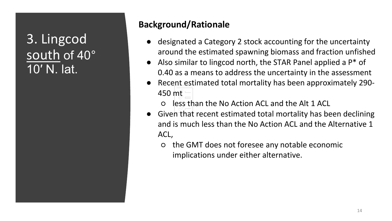### 3. Lingcod south of 40° [10′ N. lat.](https://docs.google.com/document/d/1byCaEdPeqfb8JESA8LqxuqVNZQtU7mBpcPoNZ_Xf9e0/edit#heading=h.shg1kfnp9ycp)

- designated a Category 2 stock accounting for the uncertainty around the estimated spawning biomass and fraction unfished
- Also similar to lingcod north, the STAR Panel applied a  $P^*$  of 0.40 as a means to address the uncertainty in the assessment
- Recent estimated total mortality has been approximately 290-450 mt
	- less than the No Action ACL and the Alt 1 ACL
- Given that recent estimated total mortality has been declining and is much less than the No Action ACL and the Alternative 1 ACL,
	- the GMT does not foresee any notable economic implications under either alternative.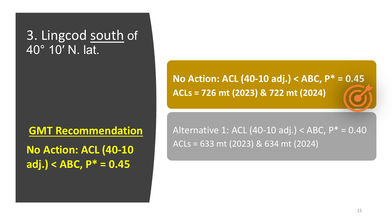#### 3. Lingcod south of 40° [10′ N. lat.](https://docs.google.com/document/d/1byCaEdPeqfb8JESA8LqxuqVNZQtU7mBpcPoNZ_Xf9e0/edit#heading=h.shg1kfnp9ycp)

**GMT Recommendation**

**No Action: ACL (40-10 adj.) < ABC, P\* = 0.45**

**No Action: ACL (40-10 adj.) < ABC, P\* = 0.45 ACLs = 726 mt (2023) & 722 mt (2024)** 

Alternative 1: ACL (40-10 adj.) < ABC, P\* = 0.40 ACLs = 633 mt (2023) & 634 mt (2024)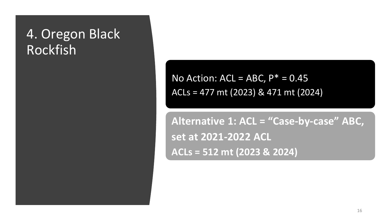### 4. Oregon Black Rockfish

No Action:  $ACL = ABC$ ,  $P^* = 0.45$ ACLs = 477 mt (2023) & 471 mt (2024)

**Alternative 1: ACL = "Case-by-case" ABC, set at 2021-2022 ACL ACLs = 512 mt (2023 & 2024)**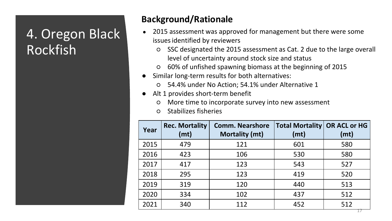### 4. Oregon Black Rockfish

- 2015 assessment was approved for management but there were some issues identified by reviewers
	- SSC designated the 2015 assessment as Cat. 2 due to the large overall level of uncertainty around stock size and status
	- 60% of unfished spawning biomass at the beginning of 2015
- Similar long-term results for both alternatives:
	- 54.4% under No Action; 54.1% under Alternative 1
- Alt 1 provides short-term benefit
	- More time to incorporate survey into new assessment
	- Stabilizes fisheries

| Year | <b>Rec. Mortality</b><br>(mt) | <b>Comm. Nearshore</b><br><b>Mortality (mt)</b> | <b>Total Mortality</b><br>(mt) | <b>OR ACL or HG</b><br>(mt) |
|------|-------------------------------|-------------------------------------------------|--------------------------------|-----------------------------|
| 2015 | 479                           | 121                                             | 601                            | 580                         |
| 2016 | 423                           | 106                                             | 530                            | 580                         |
| 2017 | 417                           | 123                                             | 543                            | 527                         |
| 2018 | 295                           | 123                                             | 419                            | 520                         |
| 2019 | 319                           | 120                                             | 440                            | 513                         |
| 2020 | 334                           | 102                                             | 437                            | 512                         |
| 2021 | 340                           | 112                                             | 452                            | 512                         |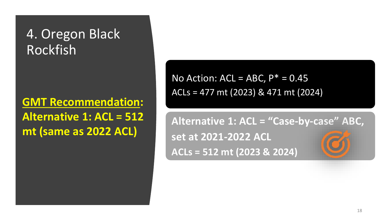### 4. Oregon Black Rockfish

#### **GMT Recommendation: Alternative 1: ACL = 512 mt (same as 2022 ACL)**

No Action:  $ACL = ABC$ ,  $P^* = 0.45$ ACLs = 477 mt (2023) & 471 mt (2024)

**Alternative 1: ACL = "Case-by-case" ABC, set at 2021-2022 ACL ACLs = 512 mt (2023 & 2024)**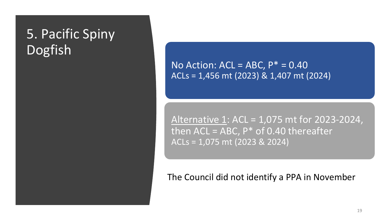### 5. Pacific Spiny Dogfish

No Action:  $ACL = ABC$ ,  $P^* = 0.40$ ACLs = 1,456 mt (2023) & 1,407 mt (2024)

Alternative 1: ACL = 1,075 mt for 2023-2024, then  $ACL = ABC$ ,  $P^*$  of 0.40 thereafter ACLs = 1,075 mt (2023 & 2024)

#### The Council did not identify a PPA in November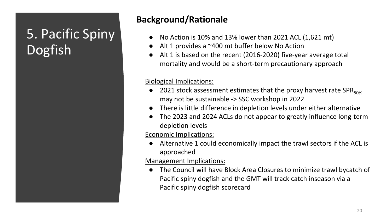### 5. Pacific Spiny Dogfish

#### **Background/Rationale**

- No Action is 10% and 13% lower than 2021 ACL  $(1,621 \text{ mt})$
- $\bullet$  Alt 1 provides a  $\sim$ 400 mt buffer below No Action
- Alt 1 is based on the recent (2016-2020) five-year average total mortality and would be a short-term precautionary approach

#### Biological Implications:

- 2021 stock assessment estimates that the proxy harvest rate SPR $_{50\%}$ may not be sustainable -> SSC workshop in 2022
- There is little difference in depletion levels under either alternative
- The 2023 and 2024 ACLs do not appear to greatly influence long-term depletion levels

Economic Implications:

Alternative 1 could economically impact the trawl sectors if the ACL is approached

Management Implications:

● The Council will have Block Area Closures to minimize trawl bycatch of Pacific spiny dogfish and the GMT will track catch inseason via a Pacific spiny dogfish scorecard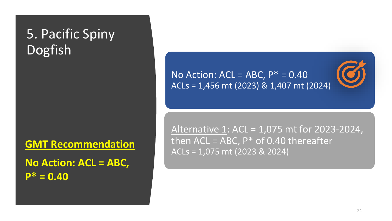### 5. Pacific Spiny Dogfish

**GMT Recommendation**

**No Action: ACL = ABC, P\* = 0.40** 

No Action:  $ACL = ABC$ ,  $P^* = 0.40$ ACLs = 1,456 mt (2023) & 1,407 mt (2024)

Alternative 1: ACL = 1,075 mt for 2023-2024, then  $ACL = ABC$ ,  $P^*$  of 0.40 thereafter ACLs = 1,075 mt (2023 & 2024)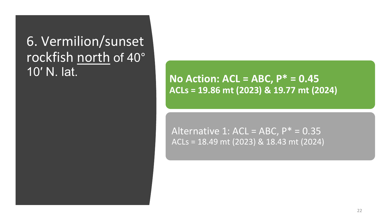6. Vermilion/sunset [rockfish north](https://docs.google.com/document/d/1byCaEdPeqfb8JESA8LqxuqVNZQtU7mBpcPoNZ_Xf9e0/edit#heading=h.shg1kfnp9ycp) of 40° 10′ N. lat.

**No Action: ACL = ABC, P\* = 0.45 ACLs = 19.86 mt (2023) & 19.77 mt (2024)** 

Alternative 1: ACL = ABC,  $P^* = 0.35$ ACLs = 18.49 mt (2023) & 18.43 mt (2024)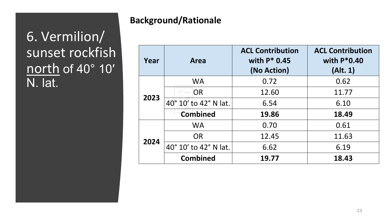### 6. Vermilion/ sunset rockfish [north](https://docs.google.com/document/d/1byCaEdPeqfb8JESA8LqxuqVNZQtU7mBpcPoNZ_Xf9e0/edit#heading=h.shg1kfnp9ycp) of 40° 10′ N. lat.

| Year | Area                  | <b>ACL Contribution</b><br>with $P^*$ 0.45<br>(No Action) | <b>ACL Contribution</b><br>with $P*0.40$<br>(Alt. 1) |
|------|-----------------------|-----------------------------------------------------------|------------------------------------------------------|
|      | <b>WA</b>             | 0.72                                                      | 0.62                                                 |
| 2023 | OR                    | 12.60                                                     | 11.77                                                |
|      | 40° 10' to 42° N lat. | 6.54                                                      | 6.10                                                 |
|      | <b>Combined</b>       | 19.86                                                     | 18.49                                                |
|      | <b>WA</b>             | 0.70                                                      | 0.61                                                 |
| 2024 | OR.                   | 12.45                                                     | 11.63                                                |
|      | 40° 10' to 42° N lat. | 6.62                                                      | 6.19                                                 |
|      | <b>Combined</b>       | 19.77                                                     | 18.43                                                |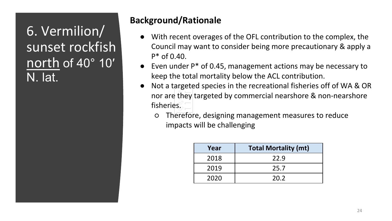6. Vermilion/ sunset rockfish [north](https://docs.google.com/document/d/1byCaEdPeqfb8JESA8LqxuqVNZQtU7mBpcPoNZ_Xf9e0/edit#heading=h.shg1kfnp9ycp) of 40° 10′ N. lat.

- With recent overages of the OFL contribution to the complex, the Council may want to consider being more precautionary & apply a  $P^*$  of 0.40.
- Even under  $P^*$  of 0.45, management actions may be necessary to keep the total mortality below the ACL contribution.
- Not a targeted species in the recreational fisheries off of WA & OR nor are they targeted by commercial nearshore & non-nearshore fisheries.
	- Therefore, designing management measures to reduce impacts will be challenging

| Year | <b>Total Mortality (mt)</b> |
|------|-----------------------------|
| 2018 | 22.9                        |
| 2019 | 25.7                        |
| 2020 | 20.2                        |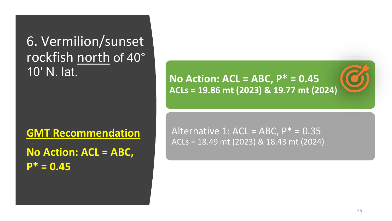6. Vermilion/sunset [rockfish north](https://docs.google.com/document/d/1byCaEdPeqfb8JESA8LqxuqVNZQtU7mBpcPoNZ_Xf9e0/edit#heading=h.shg1kfnp9ycp) of 40° 10′ N. lat.

**GMT Recommendation**

**No Action: ACL = ABC, P\* = 0.45**

**No Action: ACL = ABC, P\* = 0.45 ACLs = 19.86 mt (2023) & 19.77 mt (2024)** 

Alternative 1: ACL = ABC,  $P^* = 0.35$ ACLs = 18.49 mt (2023) & 18.43 mt (2024)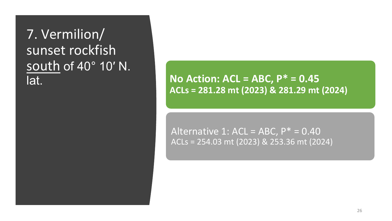### 7. Vermilion/ sunset rockfish [south](https://docs.google.com/document/d/1byCaEdPeqfb8JESA8LqxuqVNZQtU7mBpcPoNZ_Xf9e0/edit#heading=h.shg1kfnp9ycp) of 40° 10′ N. lat.

**No Action: ACL = ABC, P\* = 0.45 ACLs = 281.28 mt (2023) & 281.29 mt (2024)** 

Alternative 1: ACL = ABC,  $P^* = 0.40$ ACLs = 254.03 mt (2023) & 253.36 mt (2024)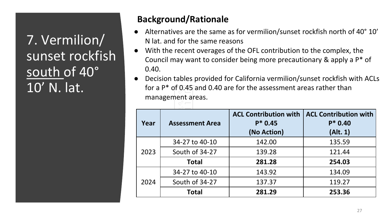7. Vermilion/ sunset rockfish south of 40° 10' N. lat.

- Alternatives are the same as for vermilion/sunset rockfish north of 40° 10' N lat. and for the same reasons
- With the recent overages of the OFL contribution to the complex, the Council may want to consider being more precautionary & apply a P\* of 0.40.
- Decision tables provided for California vermilion/sunset rockfish with ACLs for a P\* of 0.45 and 0.40 are for the assessment areas rather than management areas.

| Year | <b>Assessment Area</b> | <b>ACL Contribution with</b><br>$P* 0.45$<br>(No Action) | <b>ACL Contribution with</b><br>$P^*$ 0.40<br>(Alt. 1) |
|------|------------------------|----------------------------------------------------------|--------------------------------------------------------|
|      | 34-27 to 40-10         | 142.00                                                   | 135.59                                                 |
| 2023 | South of 34-27         | 139.28                                                   | 121.44                                                 |
|      | <b>Total</b>           | 281.28                                                   | 254.03                                                 |
|      | 34-27 to 40-10         | 143.92                                                   | 134.09                                                 |
| 2024 | South of 34-27         | 137.37                                                   | 119.27                                                 |
|      | <b>Total</b>           | 281.29                                                   | 253.36                                                 |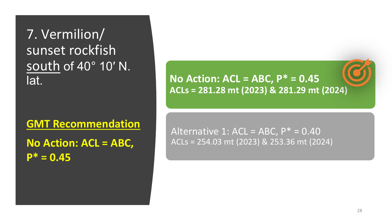### 7. Vermilion/ sunset rockfish [south](https://docs.google.com/document/d/1byCaEdPeqfb8JESA8LqxuqVNZQtU7mBpcPoNZ_Xf9e0/edit#heading=h.shg1kfnp9ycp) of 40° 10′ N. lat.

**GMT Recommendation**

**No Action: ACL = ABC, P\* = 0.45**

**No Action: ACL = ABC, P\* = 0.45 ACLs = 281.28 mt (2023) & 281.29 mt (2024)** 

#### Alternative 1: ACL = ABC,  $P^* = 0.40$ ACLs = 254.03 mt (2023) & 253.36 mt (2024)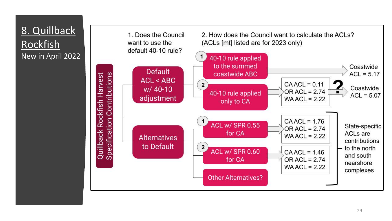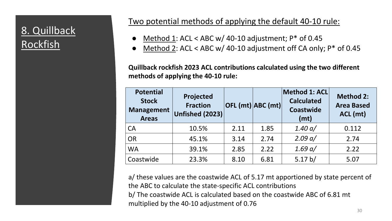#### 8. Quillback Rockfish

#### Two potential methods of applying the default 40-10 rule:

- $\omega /$  40-10 adjustment: P\* of 0.45  $\bullet$  Method 1: ACL < ABC w/ 40-10 adjustment; P\* of 0.45
- $\frac{1}{2}$  Method 2: ACL < ABC w/ 40-10 adjustment off CA only; P\* of 0.45

**Quillback rockfish 2023 ACL contributions calculated using the two different methods of applying the 40-10 rule:**

| <b>Potential</b><br><b>Stock</b><br><b>Management</b><br><b>Areas</b> | <b>Projected</b><br><b>Fraction</b><br><b>Unfished (2023)</b> |      | OFL (mt) ABC (mt) | Method 1: ACL<br><b>Calculated</b><br>Coastwide<br>(mt) | <b>Method 2:</b><br><b>Area Based</b><br>ACL (mt) |
|-----------------------------------------------------------------------|---------------------------------------------------------------|------|-------------------|---------------------------------------------------------|---------------------------------------------------|
| <b>CA</b>                                                             | 10.5%                                                         | 2.11 | 1.85              | 1.40 a/                                                 | 0.112                                             |
| <b>OR</b>                                                             | 45.1%                                                         | 3.14 | 2.74              | 2.09 a/                                                 | 2.74                                              |
| <b>WA</b>                                                             | 39.1%                                                         | 2.85 | 2.22              | 1.69 a/                                                 | 2.22                                              |
| Coastwide                                                             | 23.3%                                                         | 8.10 | 6.81              | 5.17 b/                                                 | 5.07                                              |

a/ these values are the coastwide ACL of 5.17 mt apportioned by state percent of the ABC to calculate the state-specific ACL contributions b/ The coastwide ACL is calculated based on the coastwide ABC of 6.81 mt multiplied by the 40-10 adjustment of 0.76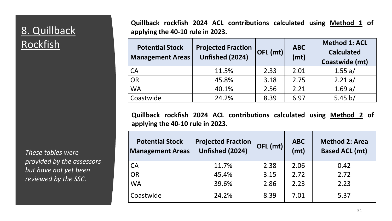#### 8. Quillback **Rockfish**

*These tables were provided by the assessors but have not yet been reviewed by the SSC.*

no Action: Access Access Access Access Access Access Access Access Access Access Access Access Access Access A<br>Contract Access Access Access Access Access Access Access Access Access Access Access Access Access Access Acc **Quillback rockfish 2024 ACL contributions calculated using Method 1 of applying the 40-10 rule in 2023.**

| <b>Potential Stock</b><br><b>Management Areas</b> | <b>Projected Fraction</b><br>Unfished (2024) | $ $ OFL (mt) $ $ | <b>ABC</b><br>(mt) | <b>Method 1: ACL</b><br><b>Calculated</b><br>Coastwide (mt) |
|---------------------------------------------------|----------------------------------------------|------------------|--------------------|-------------------------------------------------------------|
| CA                                                | 11.5%                                        | 2.33             | 2.01               | 1.55 a/                                                     |
| $\overline{OR}$                                   | 45.8%                                        | 3.18             | 2.75               | 2.21 a/                                                     |
| <b>WA</b>                                         | 40.1%                                        | 2.56             | 2.21               | 1.69 a/                                                     |
| Coastwide                                         | 24.2%                                        | 8.39             | 6.97               | 5.45 $b/$                                                   |

**Quillback rockfish 2024 ACL contributions calculated using Method 2 of applying the 40-10 rule in 2023.**

| <b>Potential Stock</b><br><b>Management Areas</b> | <b>Projected Fraction</b><br>Unfished (2024) | OFL (mt) | <b>ABC</b><br>(mt) | <b>Method 2: Area</b><br><b>Based ACL (mt)</b> |
|---------------------------------------------------|----------------------------------------------|----------|--------------------|------------------------------------------------|
| CA                                                | 11.7%                                        | 2.38     | 2.06               | 0.42                                           |
| <b>OR</b>                                         | 45.4%                                        | 3.15     | 2.72               | 2.72                                           |
| <b>WA</b>                                         | 39.6%                                        | 2.86     | 2.23               | 2.23                                           |
| Coastwide                                         | 24.2%                                        | 8.39     | 7.01               | 5.37                                           |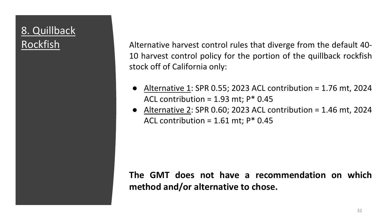## 8. Quillback

Rockfish Matternative harvest control rules that diverge from the default 40-10 harvest control policy for the portion of the quillback rockfish stock off of California only:

- Alternative 1: SPR 0.55; 2023 ACL contribution = 1.76 mt, 2024 ACL contribution =  $1.93$  mt; P\* 0.45
- $\bullet$  Alternative 2: SPR 0.60; 2023 ACL contribution = 1.46 mt, 2024 ACL contribution =  $1.61$  mt;  $P^*$  0.45

**The GMT does not have a recommendation on which method and/or alternative to chose.**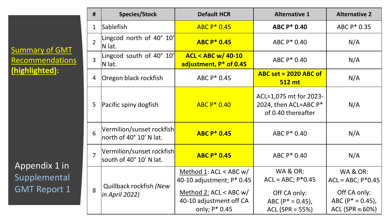Summary of GMT **Recommendations (highlighted):**

Appendix 1 in Supplemental GMT Report 1

| #              | <b>Species/Stock</b>                                 | <b>Default HCR</b>                                                                                                            | <b>Alternative 1</b>                                                                                        | <b>Alternative 2</b>                                                                                                  |
|----------------|------------------------------------------------------|-------------------------------------------------------------------------------------------------------------------------------|-------------------------------------------------------------------------------------------------------------|-----------------------------------------------------------------------------------------------------------------------|
| $\mathbf{1}$   | <b>Sablefish</b>                                     | ABC P* 0.45                                                                                                                   | <b>ABC P* 0.40</b>                                                                                          | ABC P* 0.35                                                                                                           |
| $\overline{2}$ | Lingcod north of 40° 10'<br>N lat.                   | <b>ABC P* 0.45</b>                                                                                                            | ABC P* 0.40                                                                                                 | N/A                                                                                                                   |
| $\overline{3}$ | Lingcod south of 40° 10'<br>N lat.                   | <b>ACL &lt; ABC w/ 40-10</b><br>adjustment, P* of 0.45                                                                        | ABC P* 0.40                                                                                                 | N/A                                                                                                                   |
| 4              | Oregon black rockfish                                | ABC P* 0.45                                                                                                                   | $ABC$ set = 2020 ABC of<br><b>512 mt</b>                                                                    | N/A                                                                                                                   |
| 5              | Pacific spiny dogfish                                | $ABC P* 0.40$                                                                                                                 | ACL=1,075 mt for 2023-<br>2024, then ACL=ABC P*<br>of 0.40 thereafter                                       | N/A                                                                                                                   |
| 6              | Vermilion/sunset rockfish<br>north of 40° 10' N lat. | <b>ABC P* 0.45</b>                                                                                                            | ABC P* 0.40                                                                                                 | N/A                                                                                                                   |
| $\overline{7}$ | Vermilion/sunset rockfish<br>south of 40° 10' N lat. | <b>ABC P* 0.45</b>                                                                                                            | ABC P* 0.40                                                                                                 | N/A                                                                                                                   |
| 8              | Quillback rockfish (New<br>in April 2022)            | Method 1: ACL < ABC $w/$<br>40-10 adjustment; P* 0.45<br>Method 2: $ACL < ABC$ w/<br>40-10 adjustment off CA<br>only; P* 0.45 | <b>WA &amp; OR:</b><br>$ACL = ABC$ ; $P*0.45$<br>Off CA only:<br>ABC ( $P^* = 0.45$ ),<br>$ACL (SPR = 55%)$ | <b>WA &amp; OR:</b><br>$ACL = ABC$ ; $P*0.45$<br>Off CA only:<br>$ABC (P^* = 0.45)$ ,<br>ACL (SPR $\overline{3}$ 60%) |